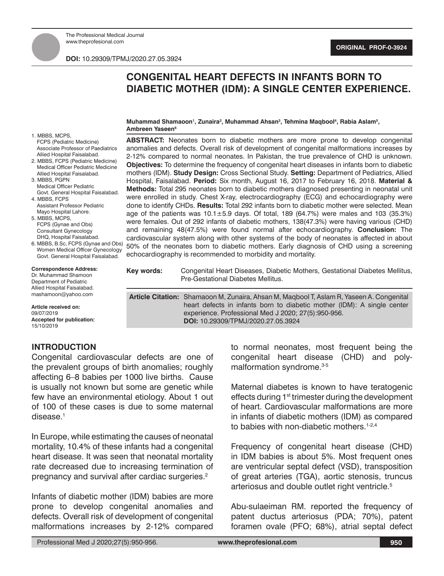**DOI:** 10.29309/TPMJ/2020.27.05.3924

# **CONGENITAL HEART DEFECTS IN INFANTS BORN TO DIABETIC MOTHER (IDM): A SINGLE CENTER EXPERIENCE.**

**ABSTRACT:** Neonates born to diabetic mothers are more prone to develop congenital anomalies and defects. Overall risk of development of congenital malformations increases by 2-12% compared to normal neonates. In Pakistan, the true prevalence of CHD is unknown. **Objectives:** To determine the frequency of congenital heart diseases in infants born to diabetic mothers (IDM). **Study Design:** Cross Sectional Study. **Setting:** Department of Pediatrics, Allied Hospital, Faisalabad. **Period:** Six month, August 16, 2017 to February 16, 2018. **Material & Methods:** Total 295 neonates born to diabetic mothers diagnosed presenting in neonatal unit were enrolled in study. Chest X-ray, electrocardiography (ECG) and echocardiography were

#### **Muhammad Shamaoon1 , Zunaira2 , Muhammad Ahsan3 , Tehmina Maqbool4 , Rabia Aslam5 , Ambreen Yaseen6**

1. MBBS, MCPS, FCPS (Pediatric Medicine) Associate Professor of Paediatrics Allied Hospital Faisalabad.

- 2. MBBS, FCPS (Pediatric Medicine) Medical Officer Pediatric Medicine Allied Hospital Faisalabad. 3. MBBS, PGPN
- Medical Officer Pediatric Govt. General Hospital Faisalabad. 4. MBBS, FCPS
- Assistant Professor Pediatric Mayo Hospital Lahore.
- 5. MBBS, MCPS, FCPS (Gynae and Obs) Consultant Gynecology DHQ, Hospital Faisalabad.
- 6. MBBS, B.Sc, FCPS (Gynae and Ob Women Medical Officer Gynecolog Govt. General Hospital Faisalabad.

|  |            | done to identify CHDs. Results: Total 292 infants born to diabetic mother were selected. Mean<br>age of the patients was $10.1 \pm 5.9$ days. Of total, 189 (64.7%) were males and 103 (35.3%)<br>were females. Out of 292 infants of diabetic mothers, 138(47.3%) were having various (CHD)<br>and remaining 48(47.5%) were found normal after echocardiography. Conclusion: The<br>cardiovascular system along with other systems of the body of neonates is affected in about<br><sup>0s)</sup> 50% of the neonates born to diabetic mothers. Early diagnosis of CHD using a screening<br>echocardiography is recommended to morbidity and mortality. |
|--|------------|----------------------------------------------------------------------------------------------------------------------------------------------------------------------------------------------------------------------------------------------------------------------------------------------------------------------------------------------------------------------------------------------------------------------------------------------------------------------------------------------------------------------------------------------------------------------------------------------------------------------------------------------------------|
|  | Key words: | Congenital Heart Diseases, Diabetic Mothers, Gestational Diabetes Mellitus,<br>Pre-Gestational Diabetes Mellitus.                                                                                                                                                                                                                                                                                                                                                                                                                                                                                                                                        |
|  |            | <b>Article Citation:</b> Shamaoon M, Zunaira, Ahsan M, Magbool T, Aslam R, Yaseen A. Congenital                                                                                                                                                                                                                                                                                                                                                                                                                                                                                                                                                          |

experience. Professional Med J 2020; 27(5):950-956.

**DOI:** 10.29309/TPMJ/2020.27.05.3924

Allied Hospital Faisalabad. mashamoon@yahoo.com **Article received on:**

**Correspondence Address:** Dr. Muhammad Shamoon Department of Pediatric

09/07/2019 **Accepted for publication:** 15/10/2019

## **INTRODUCTION**

Congenital cardiovascular defects are one of the prevalent groups of birth anomalies; roughly affecting 6–8 babies per 1000 live births. Cause is usually not known but some are genetic while few have an environmental etiology. About 1 out of 100 of these cases is due to some maternal disease.<sup>1</sup>

In Europe, while estimating the causes of neonatal mortality, 10.4% of these infants had a congenital heart disease. It was seen that neonatal mortality rate decreased due to increasing termination of pregnancy and survival after cardiac surgeries.<sup>2</sup>

Infants of diabetic mother (IDM) babies are more prone to develop congenital anomalies and defects. Overall risk of development of congenital malformations increases by 2-12% compared to normal neonates, most frequent being the congenital heart disease (CHD) and polymalformation syndrome.<sup>3-5</sup>

heart defects in infants born to diabetic mother (IDM): A single center

Maternal diabetes is known to have teratogenic effects during 1<sup>st</sup> trimester during the development of heart. Cardiovascular malformations are more in infants of diabetic mothers (IDM) as compared to babies with non-diabetic mothers.<sup>1-2,4</sup>

Frequency of congenital heart disease (CHD) in IDM babies is about 5%. Most frequent ones are ventricular septal defect (VSD), transposition of great arteries (TGA), aortic stenosis, truncus arteriosus and double outlet right ventricle.<sup>5</sup>

Abu-sulaeiman RM. reported the frequency of patent ductus arteriosus (PDA; 70%), patent foramen ovale (PFO; 68%), atrial septal defect

Professional Med J 2020;27(5):950-956. **www.theprofesional.com**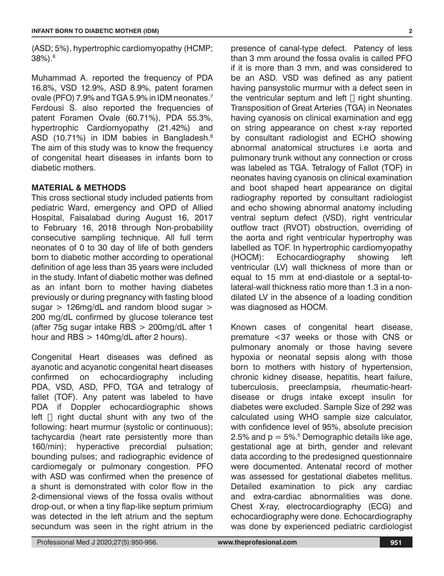(ASD; 5%), hypertrophic cardiomyopathy (HCMP; 38%).6

Muhammad A. reported the frequency of PDA 16.8%, VSD 12.9%, ASD 8.9%, patent foramen ovale (PFO) 7.9% and TGA 5.9% in IDM neonates.7 Ferdousi S. also reported the frequencies of patent Foramen Ovale (60.71%), PDA 55.3%, hypertrophic Cardiomyopathy (21.42%) and ASD (10.71%) in IDM babies in Bangladesh.8 The aim of this study was to know the frequency of congenital heart diseases in infants born to diabetic mothers.

### **MATERIAL & METHODS**

This cross sectional study included patients from pediatric Ward, emergency and OPD of Allied Hospital, Faisalabad during August 16, 2017 to February 16, 2018 through Non-probability consecutive sampling technique. All full term neonates of 0 to 30 day of life of both genders born to diabetic mother according to operational definition of age less than 35 years were included in the study. Infant of diabetic mother was defined as an infant born to mother having diabetes previously or during pregnancy with fasting blood sugar > 126mg/dL and random blood sugar > 200 mg/dL confirmed by glucose tolerance test (after 75g sugar intake RBS > 200mg/dL after 1 hour and RBS > 140mg/dL after 2 hours).

Congenital Heart diseases was defined as ayanotic and acyanotic congenital heart diseases confirmed on echocardiography including PDA, VSD, ASD, PFO, TGA and tetralogy of fallet (TOF). Any patent was labeled to have PDA if Doppler echocardiographic shows left  $\Box$  right ductal shunt with any two of the following: heart murmur (systolic or continuous); tachycardia (heart rate persistently more than 160/min); hyperactive precordial pulsation; bounding pulses; and radiographic evidence of cardiomegaly or pulmonary congestion. PFO with ASD was confirmed when the presence of a shunt is demonstrated with color flow in the 2-dimensional views of the fossa ovalis without drop-out, or when a tiny flap-like septum primium was detected in the left atrium and the septum secundum was seen in the right atrium in the

presence of canal-type defect. Patency of less than 3 mm around the fossa ovalis is called PFO if it is more than 3 mm, and was considered to be an ASD. VSD was defined as any patient having pansystolic murmur with a defect seen in the ventricular septum and left  $\Box$  right shunting. Transposition of Great Arteries (TGA) in Neonates having cyanosis on clinical examination and egg on string appearance on chest x-ray reported by consultant radiologist and ECHO showing abnormal anatomical structures i.e aorta and pulmonary trunk without any connection or cross was labeled as TGA. Tetralogy of Fallot (TOF) in neonates having cyanosis on clinical examination and boot shaped heart appearance on digital radiography reported by consultant radiologist and echo showing abnormal anatomy including ventral septum defect (VSD), right ventricular outflow tract (RVOT) obstruction, overriding of the aorta and right ventricular hypertrophy was labelled as TOF. In hypertrophic cardiomyopathy (HOCM): Echocardiography showing left ventricular (LV) wall thickness of more than or equal to 15 mm at end-diastole or a septal-tolateral-wall thickness ratio more than 1.3 in a nondilated LV in the absence of a loading condition was diagnosed as HOCM.

Known cases of congenital heart disease, premature <37 weeks or those with CNS or pulmonary anomaly or those having severe hypoxia or neonatal sepsis along with those born to mothers with history of hypertension, chronic kidney disease, hepatitis, heart failure, tuberculosis, preeclampsia, rheumatic-heartdisease or drugs intake except insulin for diabetes were excluded. Sample Size of 292 was calculated using WHO sample size calculator, with confidence level of 95%, absolute precision 2.5% and  $p = 5\%$ .<sup>5</sup> Demographic details like age, gestational age at birth, gender and relevant data according to the predesigned questionnaire were documented. Antenatal record of mother was assessed for gestational diabetes mellitus. Detailed examination to pick any cardiac and extra-cardiac abnormalities was done. Chest X-ray, electrocardiography (ECG) and echocardiography were done. Echocardiography was done by experienced pediatric cardiologist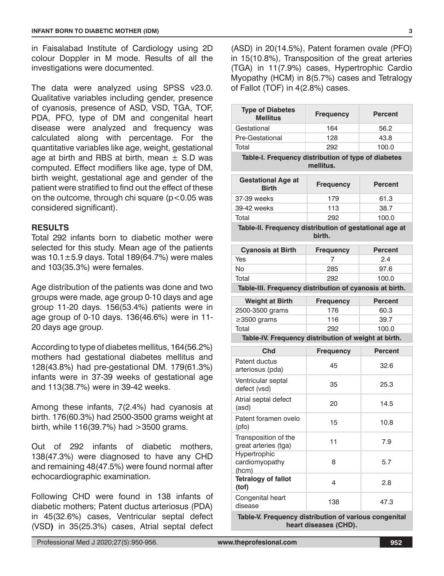in Faisalabad Institute of Cardiology using 2D colour Doppler in M mode. Results of all the investigations were documented.

The data were analyzed using SPSS v23.0. Qualitative variables including gender, presence of cyanosis, presence of ASD, VSD, TGA, TOF, PDA, PFO, type of DM and congenital heart disease were analyzed and frequency was calculated along with percentage. For the quantitative variables like age, weight, gestational age at birth and RBS at birth, mean  $\pm$  S.D was computed. Effect modifiers like age, type of DM, birth weight, gestational age and gender of the patient were stratified to find out the effect of these on the outcome, through chi square  $(p<0.05$  was considered significant).

#### **RESULTS**

Total 292 infants born to diabetic mother were selected for this study. Mean age of the patients was  $10.1 \pm 5.9$  days. Total 189(64.7%) were males and 103(35.3%) were females.

Age distribution of the patients was done and two groups were made, age group 0-10 days and age group 11-20 days. 156(53.4%) patients were in age group of 0-10 days. 136(46.6%) were in 11- 20 days age group.

According to type of diabetes mellitus, 164(56.2%) mothers had gestational diabetes mellitus and 128(43.8%) had pre-gestational DM. 179(61.3%) infants were in 37-39 weeks of gestational age and 113(38.7%) were in 39-42 weeks.

Among these infants, 7(2.4%) had cyanosis at birth. 176(60.3%) had 2500-3500 grams weight at birth, while 116(39.7%) had >3500 grams.

Out of 292 infants of diabetic mothers, 138(47.3%) were diagnosed to have any CHD and remaining 48(47.5%) were found normal after echocardiographic examination.

Following CHD were found in 138 infants of diabetic mothers; Patent ductus arteriosus (PDA) in 45(32.6%) cases, Ventricular septal defect (VSD**)** in 35(25.3%) cases, Atrial septal defect

(ASD) in 20(14.5%), Patent foramen ovale (PFO) in 15(10.8%), Transposition of the great arteries (TGA) in 11(7.9%) cases, Hypertrophic Cardio Myopathy (HCM) in 8(5.7%) cases and Tetralogy of Fallot (TOF) in 4(2.8%) cases.

**Type of Diabetes** 

| <b>Mellitus</b>                                                               | <b>Frequency</b> | <b>Percent</b> |  |  |
|-------------------------------------------------------------------------------|------------------|----------------|--|--|
| Gestational                                                                   | 164              | 56.2           |  |  |
| Pre-Gestational                                                               | 128              | 43.8           |  |  |
| Total                                                                         | 292              | 100.0          |  |  |
| Table-I. Frequency distribution of type of diabetes<br>mellitus.              |                  |                |  |  |
| <b>Gestational Age at</b><br><b>Birth</b>                                     | <b>Frequency</b> | <b>Percent</b> |  |  |
| 37-39 weeks                                                                   | 179              | 61.3           |  |  |
| 39-42 weeks                                                                   | 113              | 38.7           |  |  |
| Total                                                                         | 292              | 100.0          |  |  |
| Table-II. Frequency distribution of gestational age at                        | birth.           |                |  |  |
| <b>Cyanosis at Birth</b>                                                      | <b>Frequency</b> | <b>Percent</b> |  |  |
| Yes                                                                           | 7                | 2.4            |  |  |
| No                                                                            | 285              | 97.6           |  |  |
| Total                                                                         | 292              | 100.0          |  |  |
| Table-III. Frequency distribution of cyanosis at birth.                       |                  |                |  |  |
| <b>Weight at Birth</b>                                                        | <b>Frequency</b> | <b>Percent</b> |  |  |
| 2500-3500 grams                                                               | 176              | 60.3           |  |  |
| $\geq$ 3500 grams                                                             | 116              | 39.7           |  |  |
| Total                                                                         | 292              | 100.0          |  |  |
| Table-IV. Frequency distribution of weight at birth.                          |                  |                |  |  |
| Chd                                                                           | <b>Frequency</b> | <b>Percent</b> |  |  |
| Patent ductus<br>arteriosus (pda)                                             | 45               | 32.6           |  |  |
| Ventricular septal<br>defect (vsd)                                            | 35               | 25.3           |  |  |
| Atrial septal defect<br>(asd)                                                 | 20               | 14.5           |  |  |
| Patent foramen ovelo<br>(pfo)                                                 | 15               | 10.8           |  |  |
| Transposition of the<br>great arteries (tga)                                  | 11               | 7.9            |  |  |
| Hypertrophic<br>cardiomyopathy<br>(hcm)                                       | 8                | 5.7            |  |  |
| <b>Tetralogy of fallot</b><br>(tof)                                           | 4                | 2.8            |  |  |
| Congenital heart<br>disease                                                   | 138              | 47.3           |  |  |
| Table-V. Frequency distribution of various congenital<br>hoort diocogoo (CUD) |                  |                |  |  |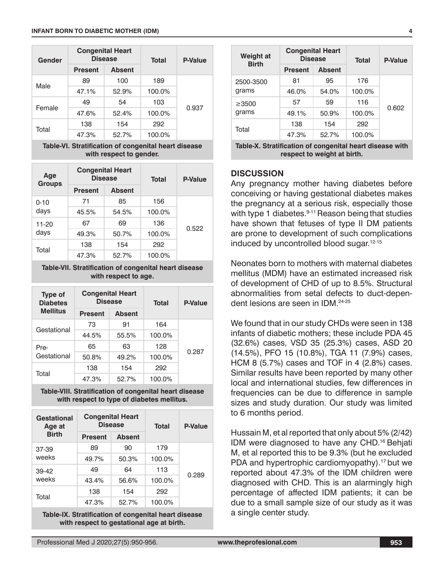| Gender | <b>Congenital Heart</b><br><b>Disease</b> |               | <b>Total</b> | <b>P-Value</b> |
|--------|-------------------------------------------|---------------|--------------|----------------|
|        | <b>Present</b>                            | <b>Absent</b> |              |                |
| Male   | 89                                        | 100           | 189          | 0.937          |
|        | 47.1%                                     | 52.9%         | 100.0%       |                |
| Female | 49                                        | 54            | 103          |                |
|        | 47.6%                                     | 52.4%         | 100.0%       |                |
| Total  | 138                                       | 154           | 292          |                |
|        | 47.3%                                     | 52.7%         | 100.0%       |                |

**Table-VI. Stratification of congenital heart disease with respect to gender.**

| Age<br><b>Groups</b> | <b>Congenital Heart</b><br><b>Disease</b> |               | <b>Total</b> | <b>P-Value</b> |
|----------------------|-------------------------------------------|---------------|--------------|----------------|
|                      | <b>Present</b>                            | <b>Absent</b> |              |                |
| $0 - 10$             | 71                                        | 85            | 156          | 0.522          |
| days                 | 45.5%                                     | 54.5%         | 100.0%       |                |
| 11-20                | 67                                        | 69            | 136          |                |
| days                 | 49.3%                                     | 50.7%         | 100.0%       |                |
| Total                | 138                                       | 154           | 292          |                |
|                      | 47.3%                                     | 52.7%         | 100.0%       |                |

**Table-VII. Stratification of congenital heart disease with respect to age.**

| <b>Type of</b><br><b>Diabetes</b> | <b>Congenital Heart</b><br><b>Disease</b> |               | <b>Total</b> | P-Value |
|-----------------------------------|-------------------------------------------|---------------|--------------|---------|
| <b>Mellitus</b>                   | <b>Present</b>                            | <b>Absent</b> |              |         |
| Gestational                       | 73                                        | 91            | 164          |         |
|                                   | 44.5%                                     | 55.5%         | 100.0%       |         |
| Pre-                              | 65                                        | 63            | 128          | 0.287   |
| Gestational                       | 50.8%                                     | 49.2%         | 100.0%       |         |
| Total                             | 138                                       | 154           | 292          |         |
|                                   | 47.3%                                     | 52.7%         | 100.0%       |         |

**Table-VIII. Stratification of congenital heart disease with respect to type of diabetes mellitus.**

| Gestational<br>Age at | <b>Congenital Heart</b><br><b>Disease</b> |               | <b>Total</b> | <b>P-Value</b> |
|-----------------------|-------------------------------------------|---------------|--------------|----------------|
| <b>Birth</b>          | <b>Present</b>                            | <b>Absent</b> |              |                |
| 37-39                 | 89                                        | 90            | 179          |                |
| weeks                 | 49.7%                                     | 50.3%         | 100.0%       |                |
| 39-42                 | 49                                        | 64            | 113          | 0.289          |
| weeks                 | 43.4%                                     | 56.6%         | 100.0%       |                |
|                       | 138                                       | 154           | 292          |                |
| Total                 | 47.3%                                     | 52.7%         | 100.0%       |                |

**Table-IX. Stratification of congenital heart disease with respect to gestational age at birth.**

| <b>Weight at</b><br><b>Birth</b> | <b>Congenital Heart</b><br><b>Disease</b> |               | <b>Total</b> | <b>P-Value</b> |
|----------------------------------|-------------------------------------------|---------------|--------------|----------------|
|                                  | <b>Present</b>                            | <b>Absent</b> |              |                |
| 2500-3500                        | 81                                        | 95            | 176          |                |
| grams                            | 46.0%                                     | 54.0%         | 100.0%       |                |
| $\geq$ 3500                      | 57                                        | 59            | 116          | 0.602          |
| grams                            | 49.1%                                     | 50.9%         | 100.0%       |                |
|                                  | 138                                       | 154           | 292          |                |
| Total                            | 47.3%                                     | 52.7%         | 100.0%       |                |

**Table-X. Stratification of congenital heart disease with respect to weight at birth.**

#### **DISCUSSION**

Any pregnancy mother having diabetes before conceiving or having gestational diabetes makes the pregnancy at a serious risk, especially those with type 1 diabetes. $9-11$  Reason being that studies have shown that fetuses of type II DM patients are prone to development of such complications induced by uncontrolled blood sugar.<sup>12-15</sup>

Neonates born to mothers with maternal diabetes mellitus (MDM) have an estimated increased risk of development of CHD of up to 8.5%. Structural abnormalities from setal defects to duct-dependent lesions are seen in IDM.24-25

We found that in our study CHDs were seen in 138 infants of diabetic mothers; these include PDA 45 (32.6%) cases, VSD 35 (25.3%) cases, ASD 20 (14.5%), PFO 15 (10.8%), TGA 11 (7.9%) cases, HCM 8 (5.7%) cases and TOF in 4 (2.8%) cases. Similar results have been reported by many other local and international studies, few differences in frequencies can be due to difference in sample sizes and study duration. Our study was limited to 6 months period.

Hussain M, et al reported that only about 5% (2/42) IDM were diagnosed to have any CHD.<sup>16</sup> Behjati M, et al reported this to be 9.3% (but he excluded PDA and hypertrophic cardiomyopathy).<sup>17</sup> but we reported about 47.3% of the IDM children were diagnosed with CHD. This is an alarmingly high percentage of affected IDM patients; it can be due to a small sample size of our study as it was a single center study.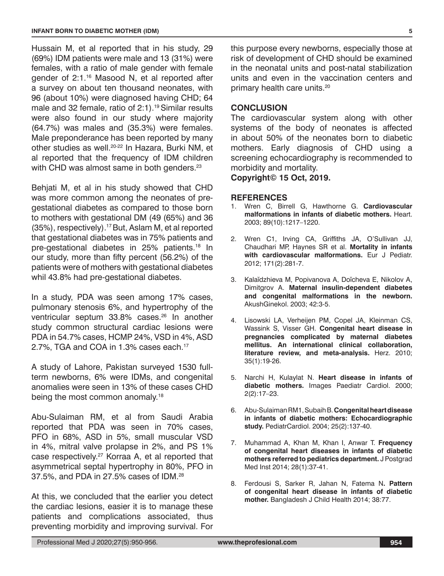Hussain M, et al reported that in his study, 29 (69%) IDM patients were male and 13 (31%) were females, with a ratio of male gender with female gender of 2:1.16 Masood N, et al reported after a survey on about ten thousand neonates, with 96 (about 10%) were diagnosed having CHD; 64 male and 32 female, ratio of  $2:1$ ).<sup>19</sup> Similar results were also found in our study where majority (64.7%) was males and (35.3%) were females. Male preponderance has been reported by many other studies as well.<sup>20-22</sup> In Hazara, Burki NM, et al reported that the frequency of IDM children with CHD was almost same in both genders.<sup>23</sup>

Behjati M, et al in his study showed that CHD was more common among the neonates of pregestational diabetes as compared to those born to mothers with gestational DM (49 (65%) and 36 (35%), respectively).17 But, Aslam M, et al reported that gestational diabetes was in 75% patients and pre-gestational diabetes in 25% patients.<sup>18</sup> In our study, more than fifty percent (56.2%) of the patients were of mothers with gestational diabetes whil 43.8% had pre-gestational diabetes.

In a study, PDA was seen among 17% cases, pulmonary stenosis 6%, and hypertrophy of the ventricular septum 33.8% cases.<sup>26</sup> In another study common structural cardiac lesions were PDA in 54.7% cases, HCMP 24%, VSD in 4%, ASD 2.7%, TGA and COA in 1.3% cases each.17

A study of Lahore, Pakistan surveyed 1530 fullterm newborns, 6% were IDMs, and congenital anomalies were seen in 13% of these cases CHD being the most common anomaly.<sup>18</sup>

Abu-Sulaiman RM, et al from Saudi Arabia reported that PDA was seen in 70% cases, PFO in 68%, ASD in 5%, small muscular VSD in 4%, mitral valve prolapse in 2%, and PS 1% case respectively.<sup>27</sup> Korraa A, et al reported that asymmetrical septal hypertrophy in 80%, PFO in 37.5%, and PDA in 27.5% cases of IDM.28

At this, we concluded that the earlier you detect the cardiac lesions, easier it is to manage these patients and complications associated, thus preventing morbidity and improving survival. For

this purpose every newborns, especially those at risk of development of CHD should be examined in the neonatal units and post-natal stabilization units and even in the vaccination centers and primary health care units.20

#### **CONCLUSION**

The cardiovascular system along with other systems of the body of neonates is affected in about 50% of the neonates born to diabetic mothers. Early diagnosis of CHD using a screening echocardiography is recommended to morbidity and mortality.

#### **Copyright© 15 Oct, 2019.**

#### **REFERENCES**

- 1. Wren C, Birrell G, Hawthorne G. **Cardiovascular malformations in infants of diabetic mothers.** Heart. 2003; 89(10):1217–1220.
- 2. Wren C1, Irving CA, Griffiths JA, O'Sullivan JJ, Chaudhari MP, Haynes SR et al. **Mortality in infants with cardiovascular malformations.** Eur J Pediatr. 2012; 171(2):281-7.
- 3. Kalaĭdzhieva M, Popivanova A, Doĭcheva E, Nikolov A, Dimitgrov A. **Maternal insulin-dependent diabetes and congenital malformations in the newborn.** AkushGinekol. 2003; 42:3-5.
- 4. Lisowski LA, Verheijen PM, Copel JA, Kleinman CS, Wassink S, Visser GH. **Congenital heart disease in pregnancies complicated by maternal diabetes mellitus. An international clinical collaboration, literature review, and meta-analysis.** Herz. 2010; 35(1):19-26.
- 5. Narchi H, Kulaylat N. **Heart disease in infants of diabetic mothers.** Images Paediatr Cardiol. 2000; 2(2):17–23.
- 6. Abu-Sulaiman RM1, Subaih B. **Congenital heart disease in infants of diabetic mothers: Echocardiographic study.** PediatrCardiol. 2004; 25(2):137-40.
- 7. Muhammad A, Khan M, Khan I, Anwar T. **Frequency of congenital heart diseases in infants of diabetic mothers referred to pediatrics department.** J Postgrad Med Inst 2014; 28(1):37-41.
- 8. Ferdousi S, Sarker R, Jahan N, Fatema N**. Pattern of congenital heart disease in infants of diabetic mother.** Bangladesh J Child Health 2014; 38:77.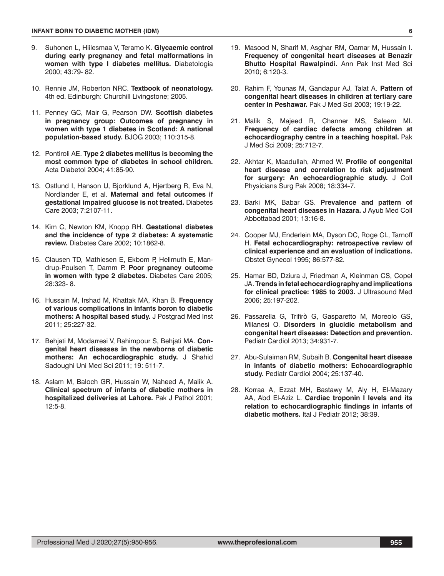- 9. Suhonen L, Hiilesmaa V, Teramo K. **Glycaemic control during early pregnancy and fetal malformations in women with type I diabetes mellitus.** Diabetologia 2000; 43:79- 82.
- 10. Rennie JM, Roberton NRC. **Textbook of neonatology.** 4th ed. Edinburgh: Churchill Livingstone; 2005.
- 11. Penney GC, Mair G, Pearson DW. **Scottish diabetes in pregnancy group: Outcomes of pregnancy in women with type 1 diabetes in Scotland: A national population-based study.** BJOG 2003; 110:315-8.
- 12. Pontiroli AE. **Type 2 diabetes mellitus is becoming the most common type of diabetes in school children.** Acta Diabetol 2004; 41:85-90.
- 13. Ostlund I, Hanson U, Bjorklund A, Hjertberg R, Eva N, Nordlander E, et al. **Maternal and fetal outcomes if gestational impaired glucose is not treated.** Diabetes Care 2003; 7:2107-11.
- 14. Kim C, Newton KM, Knopp RH. **Gestational diabetes and the incidence of type 2 diabetes: A systematic review.** Diabetes Care 2002; 10:1862-8.
- 15. Clausen TD, Mathiesen E, Ekbom P, Hellmuth E, Mandrup-Poulsen T, Damm P. **Poor pregnancy outcome in women with type 2 diabetes.** Diabetes Care 2005; 28:323- 8.
- 16. Hussain M, Irshad M, Khattak MA, Khan B. **Frequency of various complications in infants boron to diabetic mothers: A hospital based study.** J Postgrad Med Inst 2011; 25:227-32.
- 17. Behjati M, Modarresi V, Rahimpour S, Behjati MA. **Congenital heart diseases in the newborns of diabetic mothers: An echocardiographic study.** J Shahid Sadoughi Uni Med Sci 2011; 19: 511-7.
- 18. Aslam M, Baloch GR, Hussain W, Naheed A, Malik A. **Clinical spectrum of infants of diabetic mothers in hospitalized deliveries at Lahore.** Pak J Pathol 2001;  $12.5 - 8$
- 19. Masood N, Sharif M, Asghar RM, Qamar M, Hussain I. **Frequency of congenital heart diseases at Benazir Bhutto Hospital Rawalpindi.** Ann Pak Inst Med Sci 2010; 6:120-3.
- 20. Rahim F, Younas M, Gandapur AJ, Talat A. **Pattern of congenital heart diseases in children at tertiary care center in Peshawar.** Pak J Med Sci 2003; 19:19-22.
- 21. Malik S, Majeed R, Channer MS, Saleem MI. **Frequency of cardiac defects among children at echocardiography centre in a teaching hospital.** Pak J Med Sci 2009; 25:712-7.
- 22. Akhtar K, Maadullah, Ahmed W. **Profile of congenital heart disease and correlation to risk adjustment for surgery: An echocardiographic study.** J Coll Physicians Surg Pak 2008; 18:334-7.
- 23. Barki MK, Babar GS. **Prevalence and pattern of congenital heart diseases in Hazara.** J Ayub Med Coll Abbottabad 2001; 13:16-8.
- 24. Cooper MJ, Enderlein MA, Dyson DC, Roge CL, Tarnoff H. **Fetal echocardiography: retrospective review of clinical experience and an evaluation of indications.**  Obstet Gynecol 1995; 86:577-82.
- 25. Hamar BD, Dziura J, Friedman A, Kleinman CS, Copel JA. **Trends in fetal echocardiography and implications for clinical practice: 1985 to 2003.** J Ultrasound Med 2006; 25:197-202.
- 26. Passarella G. Trifirò G. Gasparetto M. Moreolo GS. Milanesi O. **Disorders in glucidic metabolism and congenital heart diseases: Detection and prevention.**  Pediatr Cardiol 2013; 34:931-7.
- 27. Abu-Sulaiman RM, Subaih B. **Congenital heart disease in infants of diabetic mothers: Echocardiographic study.** Pediatr Cardiol 2004; 25:137-40.
- 28. Korraa A, Ezzat MH, Bastawy M, Aly H, El-Mazary AA, Abd El-Aziz L. **Cardiac troponin I levels and its relation to echocardiographic findings in infants of diabetic mothers.** Ital J Pediatr 2012; 38:39.